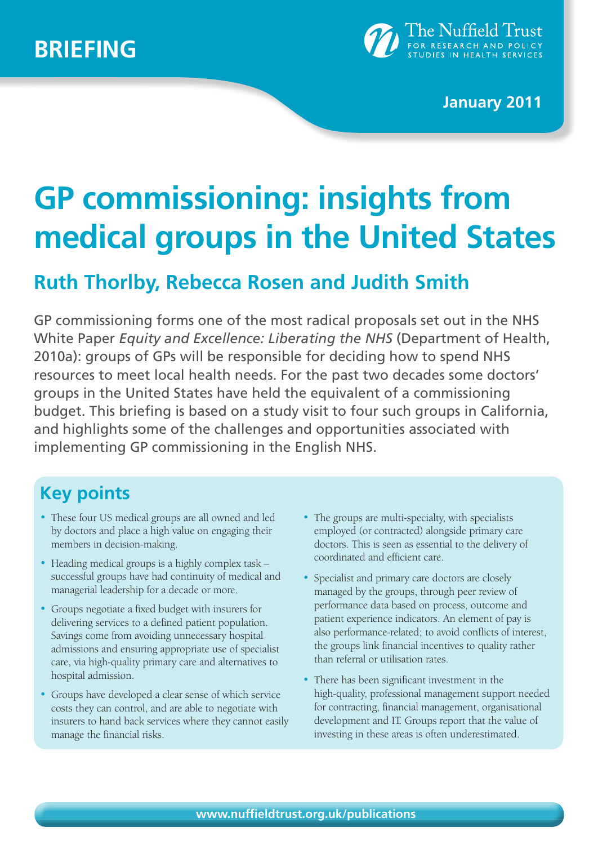

**January 2011**

# **GP commissioning: insights from medical groups in the United States**

# **Ruth Thorlby, Rebecca Rosen and Judith Smith**

GP commissioning forms one of the most radical proposals set out in the NHS White Paper *Equity and Excellence: Liberating the NHS* (Department of Health, 2010a): groups of GPs will be responsible for deciding how to spend NHS resources to meet local health needs. For the past two decades some doctors' groups in the United States have held the equivalent of a commissioning budget. This briefing is based on a study visit to four such groups in California, and highlights some of the challenges and opportunities associated with implementing GP commissioning in the English NHS.

# **Key points**

- These four US medical groups are all owned and led by doctors and place a high value on engaging their members in decision-making.
- Heading medical groups is a highly complex task successful groups have had continuity of medical and managerial leadership for a decade or more.
- Groups negotiate a fixed budget with insurers for delivering services to a defined patient population. Savings come from avoiding unnecessary hospital admissions and ensuring appropriate use of specialist care, via high-quality primary care and alternatives to hospital admission.
- Groups have developed a clear sense of which service costs they can control, and are able to negotiate with insurers to hand back services where they cannot easily manage the financial risks.
- The groups are multi-specialty, with specialists employed (or contracted) alongside primary care doctors. This is seen as essential to the delivery of coordinated and efficient care.
- Specialist and primary care doctors are closely managed by the groups, through peer review of performance data based on process, outcome and patient experience indicators. An element of pay is also performance-related; to avoid conflicts of interest, the groups link financial incentives to quality rather than referral or utilisation rates.
- There has been significant investment in the high-quality, professional management support needed for contracting, financial management, organisational development and IT. Groups report that the value of investing in these areas is often underestimated.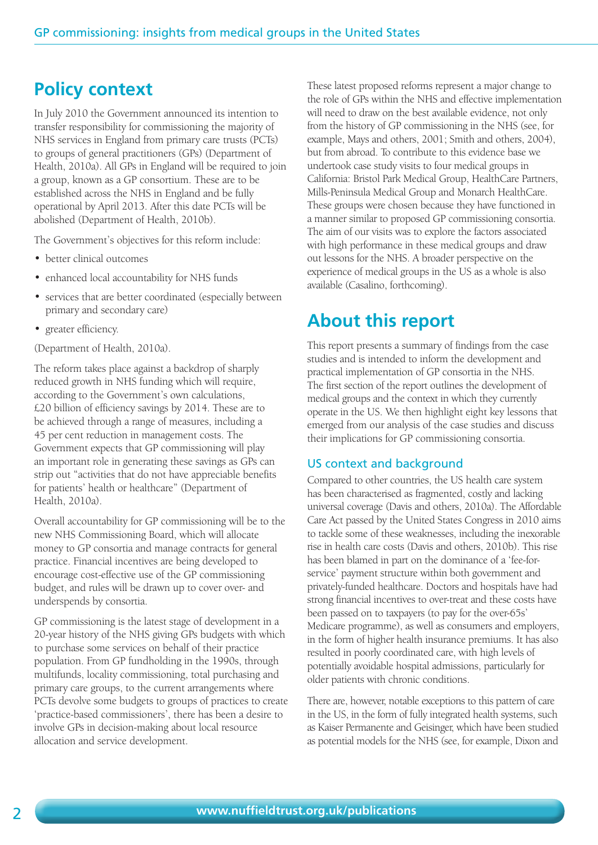# **Policy context**

In July 2010 the Government announced its intention to transfer responsibility for commissioning the majority of NHS services in England from primary care trusts (PCTs) to groups of general practitioners (GPs) (Department of Health, 2010a). All GPs in England will be required to join a group, known as a GP consortium. These are to be established across the NHS in England and be fully operational by April 2013. After this date PCTs will be abolished (Department of Health, 2010b).

The Government's objectives for this reform include:

- better clinical outcomes
- enhanced local accountability for NHS funds
- services that are better coordinated (especially between primary and secondary care)
- greater efficiency.

(Department of Health, 2010a).

The reform takes place against a backdrop of sharply reduced growth in NHS funding which will require, according to the Government's own calculations, £20 billion of efficiency savings by 2014. These are to be achieved through a range of measures, including a 45 per cent reduction in management costs. The Government expects that GP commissioning will play an important role in generating these savings as GPs can strip out "activities that do not have appreciable benefits for patients' health or healthcare" (Department of Health, 2010a).

Overall accountability for GP commissioning will be to the new NHS Commissioning Board, which will allocate money to GP consortia and manage contracts for general practice. Financial incentives are being developed to encourage cost-effective use of the GP commissioning budget, and rules will be drawn up to cover over- and underspends by consortia.

GP commissioning is the latest stage of development in a 20-year history of the NHS giving GPs budgets with which to purchase some services on behalf of their practice population. From GP fundholding in the 1990s, through multifunds, locality commissioning, total purchasing and primary care groups, to the current arrangements where PCTs devolve some budgets to groups of practices to create 'practice-based commissioners', there has been a desire to involve GPs in decision-making about local resource allocation and service development.

These latest proposed reforms represent a major change to the role of GPs within the NHS and effective implementation will need to draw on the best available evidence, not only from the history of GP commissioning in the NHS (see, for example, Mays and others, 2001; Smith and others, 2004), but from abroad. To contribute to this evidence base we undertook case study visits to four medical groups in California: Bristol Park Medical Group, HealthCare Partners, Mills-Peninsula Medical Group and Monarch HealthCare. These groups were chosen because they have functioned in a manner similar to proposed GP commissioning consortia. The aim of our visits was to explore the factors associated with high performance in these medical groups and draw out lessons for the NHS. A broader perspective on the experience of medical groups in the US as a whole is also available (Casalino, forthcoming).

### **About this report**

This report presents a summary of findings from the case studies and is intended to inform the development and practical implementation of GP consortia in the NHS. The first section of the report outlines the development of medical groups and the context in which they currently operate in the US. We then highlight eight key lessons that emerged from our analysis of the case studies and discuss their implications for GP commissioning consortia.

#### US context and background

Compared to other countries, the US health care system has been characterised as fragmented, costly and lacking universal coverage (Davis and others, 2010a). The Affordable Care Act passed by the United States Congress in 2010 aims to tackle some of these weaknesses, including the inexorable rise in health care costs (Davis and others, 2010b). This rise has been blamed in part on the dominance of a 'fee-forservice' payment structure within both government and privately-funded healthcare. Doctors and hospitals have had strong financial incentives to over-treat and these costs have been passed on to taxpayers (to pay for the over-65s' Medicare programme), as well as consumers and employers, in the form of higher health insurance premiums. It has also resulted in poorly coordinated care, with high levels of potentially avoidable hospital admissions, particularly for older patients with chronic conditions.

There are, however, notable exceptions to this pattern of care in the US, in the form of fully integrated health systems, such as Kaiser Permanente and Geisinger, which have been studied as potential models for the NHS (see, for example, Dixon and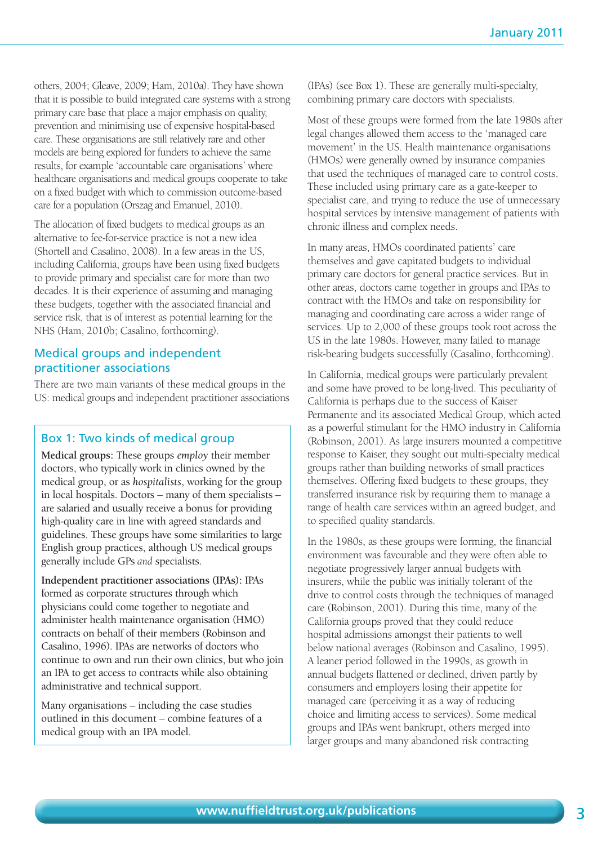others, 2004; Gleave, 2009; Ham, 2010a). They have shown that it is possible to build integrated care systems with a strong primary care base that place a major emphasis on quality, prevention and minimising use of expensive hospital-based care. These organisations are still relatively rare and other models are being explored for funders to achieve the same results, for example 'accountable care organisations' where healthcare organisations and medical groups cooperate to take on a fixed budget with which to commission outcome-based care for a population (Orszag and Emanuel, 2010).

The allocation of fixed budgets to medical groups as an alternative to fee-for-service practice is not a new idea (Shortell and Casalino, 2008). In a few areas in the US, including California, groups have been using fixed budgets to provide primary and specialist care for more than two decades. It is their experience of assuming and managing these budgets, together with the associated financial and service risk, that is of interest as potential learning for the NHS (Ham, 2010b; Casalino, forthcoming).

#### Medical groups and independent practitioner associations

There are two main variants of these medical groups in the US: medical groups and independent practitioner associations

#### Box 1: Two kinds of medical group

**Medical groups:** These groups *employ* their member doctors, who typically work in clinics owned by the medical group, or as *hospitalists*, working for the group in local hospitals. Doctors – many of them specialists – are salaried and usually receive a bonus for providing high-quality care in line with agreed standards and guidelines. These groups have some similarities to large English group practices, although US medical groups generally include GPs *and* specialists.

**Independent practitioner associations (IPAs):** IPAs formed as corporate structures through which physicians could come together to negotiate and administer health maintenance organisation (HMO) contracts on behalf of their members (Robinson and Casalino, 1996). IPAs are networks of doctors who continue to own and run their own clinics, but who join an IPA to get access to contracts while also obtaining administrative and technical support.

Many organisations – including the case studies outlined in this document – combine features of a medical group with an IPA model.

(IPAs) (see Box 1). These are generally multi-specialty, combining primary care doctors with specialists.

Most of these groups were formed from the late 1980s after legal changes allowed them access to the 'managed care movement' in the US. Health maintenance organisations (HMOs) were generally owned by insurance companies that used the techniques of managed care to control costs. These included using primary care as a gate-keeper to specialist care, and trying to reduce the use of unnecessary hospital services by intensive management of patients with chronic illness and complex needs.

In many areas, HMOs coordinated patients' care themselves and gave capitated budgets to individual primary care doctors for general practice services. But in other areas, doctors came together in groups and IPAs to contract with the HMOs and take on responsibility for managing and coordinating care across a wider range of services. Up to 2,000 of these groups took root across the US in the late 1980s. However, many failed to manage risk-bearing budgets successfully (Casalino, forthcoming).

In California, medical groups were particularly prevalent and some have proved to be long-lived. This peculiarity of California is perhaps due to the success of Kaiser Permanente and its associated Medical Group, which acted as a powerful stimulant for the HMO industry in California (Robinson, 2001). As large insurers mounted a competitive response to Kaiser, they sought out multi-specialty medical groups rather than building networks of small practices themselves. Offering fixed budgets to these groups, they transferred insurance risk by requiring them to manage a range of health care services within an agreed budget, and to specified quality standards.

In the 1980s, as these groups were forming, the financial environment was favourable and they were often able to negotiate progressively larger annual budgets with insurers, while the public was initially tolerant of the drive to control costs through the techniques of managed care (Robinson, 2001). During this time, many of the California groups proved that they could reduce hospital admissions amongst their patients to well below national averages (Robinson and Casalino, 1995). A leaner period followed in the 1990s, as growth in annual budgets flattened or declined, driven partly by consumers and employers losing their appetite for managed care (perceiving it as a way of reducing choice and limiting access to services). Some medical groups and IPAs went bankrupt, others merged into larger groups and many abandoned risk contracting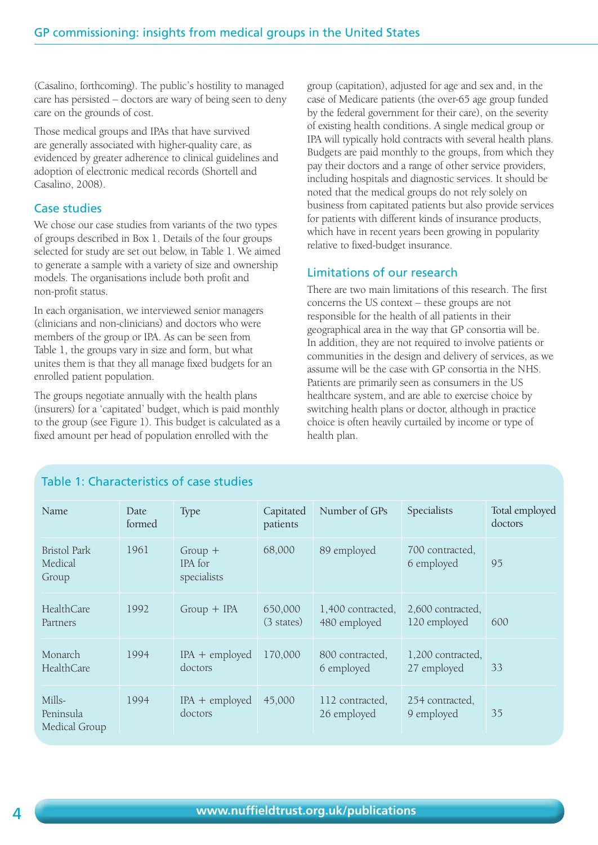(Casalino, forthcoming). The public's hostility to managed care has persisted – doctors are wary of being seen to deny care on the grounds of cost.

Those medical groups and IPAs that have survived are generally associated with higher-quality care, as evidenced by greater adherence to clinical guidelines and adoption of electronic medical records (Shortell and Casalino, 2008).

#### Case studies

We chose our case studies from variants of the two types of groups described in Box 1. Details of the four groups selected for study are set out below, in Table 1. We aimed to generate a sample with a variety of size and ownership models. The organisations include both profit and non-profit status.

In each organisation, we interviewed senior managers (clinicians and non-clinicians) and doctors who were members of the group or IPA. As can be seen from Table 1, the groups vary in size and form, but what unites them is that they all manage fixed budgets for an enrolled patient population.

The groups negotiate annually with the health plans (insurers) for a 'capitated' budget, which is paid monthly to the group (see Figure 1). This budget is calculated as a fixed amount per head of population enrolled with the

group (capitation), adjusted for age and sex and, in the case of Medicare patients (the over-65 age group funded by the federal government for their care), on the severity of existing health conditions. A single medical group or IPA will typically hold contracts with several health plans. Budgets are paid monthly to the groups, from which they pay their doctors and a range of other service providers, including hospitals and diagnostic services. It should be noted that the medical groups do not rely solely on business from capitated patients but also provide services for patients with different kinds of insurance products, which have in recent years been growing in popularity relative to fixed-budget insurance.

#### Limitations of our research

There are two main limitations of this research. The first concerns the US context – these groups are not responsible for the health of all patients in their geographical area in the way that GP consortia will be. In addition, they are not required to involve patients or communities in the design and delivery of services, as we assume will be the case with GP consortia in the NHS. Patients are primarily seen as consumers in the US healthcare system, and are able to exercise choice by switching health plans or doctor, although in practice choice is often heavily curtailed by income or type of health plan.

#### Table 1: Characteristics of case studies

| Name                                    | Date<br>formed | <b>Type</b>                         | Capitated<br>patients | Number of GPs                     | Specialists                       | Total employed<br>doctors |
|-----------------------------------------|----------------|-------------------------------------|-----------------------|-----------------------------------|-----------------------------------|---------------------------|
| <b>Bristol Park</b><br>Medical<br>Group | 1961           | $Group +$<br>IPA for<br>specialists | 68,000                | 89 employed                       | 700 contracted,<br>6 employed     | 95                        |
| HealthCare<br>Partners                  | 1992           | $Group + IPA$                       | 650,000<br>(3 states) | 1,400 contracted,<br>480 employed | 2,600 contracted,<br>120 employed | 600                       |
| Monarch<br><b>HealthCare</b>            | 1994           | $IPA +$ employed<br>doctors         | 170,000               | 800 contracted,<br>6 employed     | 1,200 contracted,<br>27 employed  | 33                        |
| Mills-<br>Peninsula<br>Medical Group    | 1994           | $IPA + employed$<br>doctors         | 45,000                | 112 contracted,<br>26 employed    | 254 contracted,<br>9 employed     | 35                        |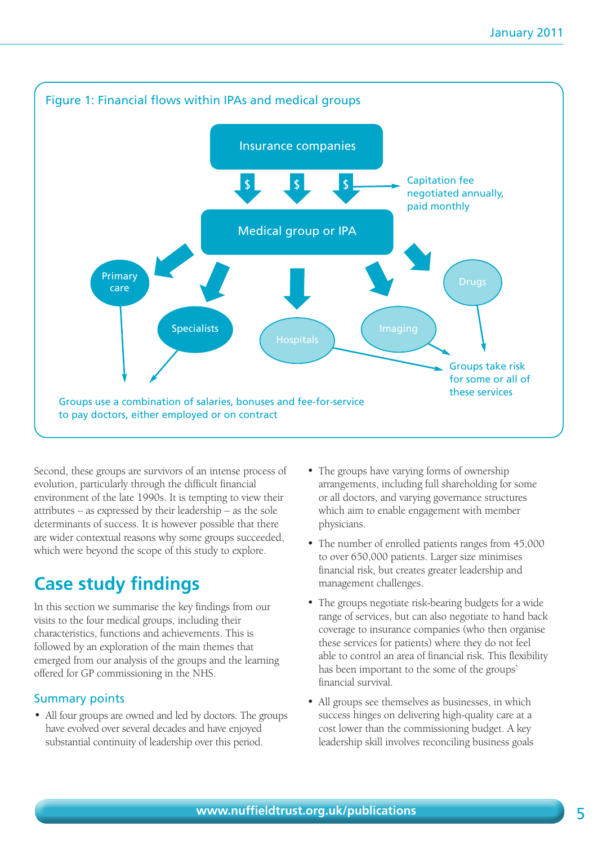

Second, these groups are survivors of an intense process of evolution, particularly through the difficult financial environment of the late 1990s. It is tempting to view their attributes – as expressed by their leadership – as the sole determinants of success. It is however possible that there are wider contextual reasons why some groups succeeded, which were beyond the scope of this study to explore.

# **Case study findings**

In this section we summarise the key findings from our visits to the four medical groups, including their characteristics, functions and achievements. This is followed by an exploration of the main themes that emerged from our analysis of the groups and the learning offered for GP commissioning in the NHS.

#### Summary points

• All four groups are owned and led by doctors. The groups have evolved over several decades and have enjoyed substantial continuity of leadership over this period.

- The groups have varying forms of ownership arrangements, including full shareholding for some or all doctors, and varying governance structures which aim to enable engagement with member physicians.
- The number of enrolled patients ranges from 45,000 to over 650,000 patients. Larger size minimises financial risk, but creates greater leadership and management challenges.
- The groups negotiate risk-bearing budgets for a wide range of services, but can also negotiate to hand back coverage to insurance companies (who then organise these services for patients) where they do not feel able to control an area of financial risk. This flexibility has been important to the some of the groups' financial survival.
- All groups see themselves as businesses, in which success hinges on delivering high-quality care at a cost lower than the commissioning budget. A key leadership skill involves reconciling business goals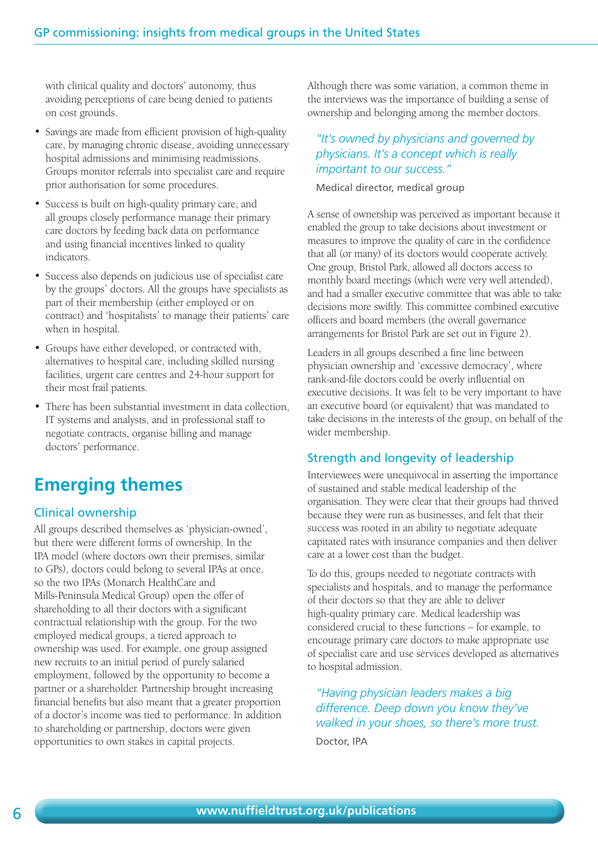with clinical quality and doctors' autonomy, thus avoiding perceptions of care being denied to patients on cost grounds.

- Savings are made from efficient provision of high-quality care, by managing chronic disease, avoiding unnecessary hospital admissions and minimising readmissions. Groups monitor referrals into specialist care and require prior authorisation for some procedures.
- Success is built on high-quality primary care, and all groups closely performance manage their primary care doctors by feeding back data on performance and using financial incentives linked to quality indicators.
- Success also depends on judicious use of specialist care by the groups' doctors. All the groups have specialists as part of their membership (either employed or on contract) and 'hospitalists' to manage their patients' care when in hospital.
- Groups have either developed, or contracted with, alternatives to hospital care, including skilled nursing facilities, urgent care centres and 24-hour support for their most frail patients.
- There has been substantial investment in data collection, IT systems and analysts, and in professional staff to negotiate contracts, organise billing and manage doctors' performance.

# **Emerging themes**

#### Clinical ownership

All groups described themselves as 'physician-owned', but there were different forms of ownership. In the IPA model (where doctors own their premises, similar to GPs), doctors could belong to several IPAs at once, so the two IPAs (Monarch HealthCare and Mills-Peninsula Medical Group) open the offer of shareholding to all their doctors with a significant contractual relationship with the group. For the two employed medical groups, a tiered approach to ownership was used. For example, one group assigned new recruits to an initial period of purely salaried employment, followed by the opportunity to become a partner or a shareholder. Partnership brought increasing financial benefits but also meant that a greater proportion of a doctor's income was tied to performance. In addition to shareholding or partnership, doctors were given opportunities to own stakes in capital projects.

Although there was some variation, a common theme in the interviews was the importance of building a sense of ownership and belonging among the member doctors.

#### *"It's owned by physicians and governed by physicians. It's a concept which is really important to our success."*

Medical director, medical group

A sense of ownership was perceived as important because it enabled the group to take decisions about investment or measures to improve the quality of care in the confidence that all (or many) of its doctors would cooperate actively. One group, Bristol Park, allowed all doctors access to monthly board meetings (which were very well attended), and had a smaller executive committee that was able to take decisions more swiftly. This committee combined executive officers and board members (the overall governance arrangements for Bristol Park are set out in Figure 2).

Leaders in all groups described a fine line between physician ownership and 'excessive democracy', where rank-and-file doctors could be overly influential on executive decisions. It was felt to be very important to have an executive board (or equivalent) that was mandated to take decisions in the interests of the group, on behalf of the wider membership.

#### Strength and longevity of leadership

Interviewees were unequivocal in asserting the importance of sustained and stable medical leadership of the organisation. They were clear that their groups had thrived because they were run as businesses, and felt that their success was rooted in an ability to negotiate adequate capitated rates with insurance companies and then deliver care at a lower cost than the budget.

To do this, groups needed to negotiate contracts with specialists and hospitals, and to manage the performance of their doctors so that they are able to deliver high-quality primary care. Medical leadership was considered crucial to these functions – for example, to encourage primary care doctors to make appropriate use of specialist care and use services developed as alternatives to hospital admission.

*"Having physician leaders makes a big difference. Deep down you know they've walked in your shoes, so there's more trust.* Doctor, IPA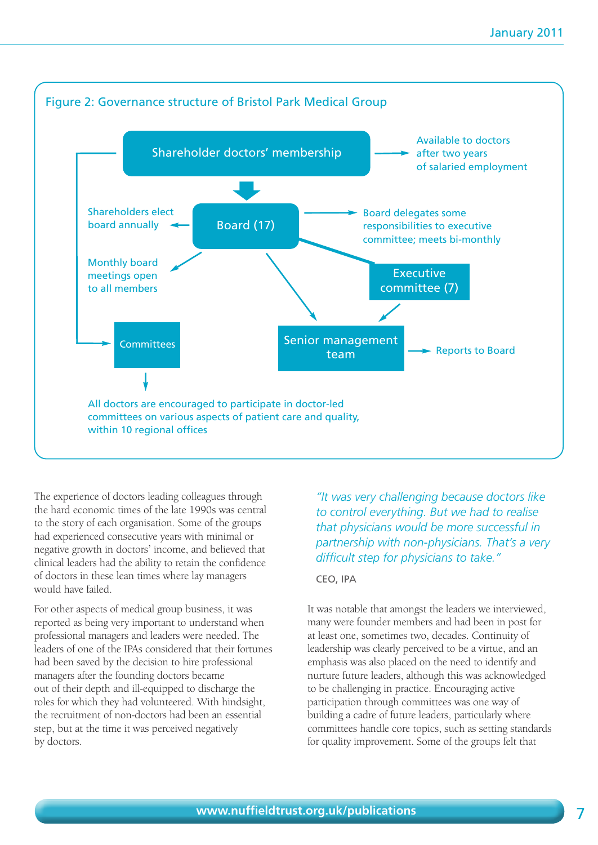

The experience of doctors leading colleagues through the hard economic times of the late 1990s was central to the story of each organisation. Some of the groups had experienced consecutive years with minimal or negative growth in doctors' income, and believed that clinical leaders had the ability to retain the confidence of doctors in these lean times where lay managers would have failed.

For other aspects of medical group business, it was reported as being very important to understand when professional managers and leaders were needed. The leaders of one of the IPAs considered that their fortunes had been saved by the decision to hire professional managers after the founding doctors became out of their depth and ill-equipped to discharge the roles for which they had volunteered. With hindsight, the recruitment of non-doctors had been an essential step, but at the time it was perceived negatively by doctors.

*"It was very challenging because doctors like to control everything. But we had to realise that physicians would be more successful in partnership with non-physicians. That's a very difficult step for physicians to take."* 

CEO, IPA

It was notable that amongst the leaders we interviewed, many were founder members and had been in post for at least one, sometimes two, decades. Continuity of leadership was clearly perceived to be a virtue, and an emphasis was also placed on the need to identify and nurture future leaders, although this was acknowledged to be challenging in practice. Encouraging active participation through committees was one way of building a cadre of future leaders, particularly where committees handle core topics, such as setting standards for quality improvement. Some of the groups felt that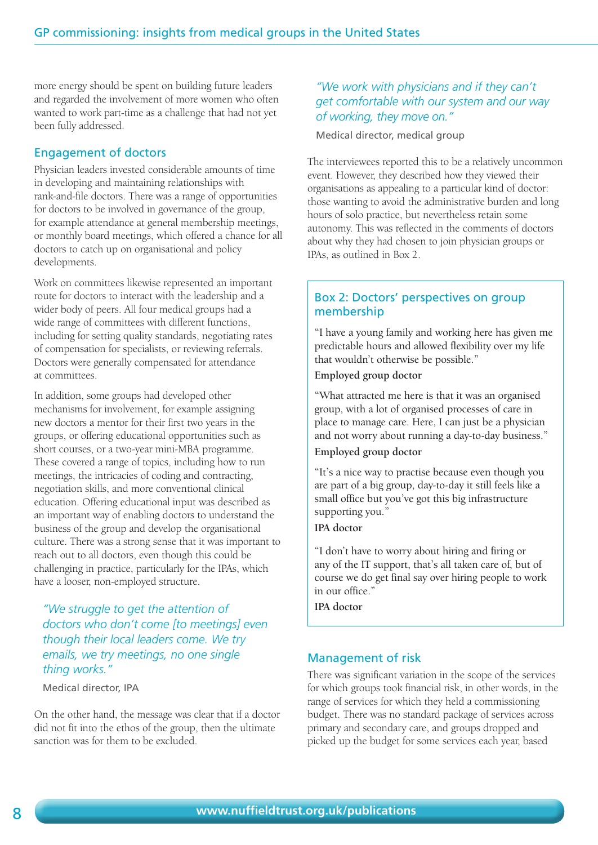more energy should be spent on building future leaders and regarded the involvement of more women who often wanted to work part-time as a challenge that had not yet been fully addressed.

#### Engagement of doctors

Physician leaders invested considerable amounts of time in developing and maintaining relationships with rank-and-file doctors. There was a range of opportunities for doctors to be involved in governance of the group, for example attendance at general membership meetings, or monthly board meetings, which offered a chance for all doctors to catch up on organisational and policy developments.

Work on committees likewise represented an important route for doctors to interact with the leadership and a wider body of peers. All four medical groups had a wide range of committees with different functions, including for setting quality standards, negotiating rates of compensation for specialists, or reviewing referrals. Doctors were generally compensated for attendance at committees.

In addition, some groups had developed other mechanisms for involvement, for example assigning new doctors a mentor for their first two years in the groups, or offering educational opportunities such as short courses, or a two-year mini-MBA programme. These covered a range of topics, including how to run meetings, the intricacies of coding and contracting, negotiation skills, and more conventional clinical education. Offering educational input was described as an important way of enabling doctors to understand the business of the group and develop the organisational culture. There was a strong sense that it was important to reach out to all doctors, even though this could be challenging in practice, particularly for the IPAs, which have a looser, non-employed structure.

*"We struggle to get the attention of doctors who don't come [to meetings] even though their local leaders come. We try emails, we try meetings, no one single thing works."*

Medical director, IPA

On the other hand, the message was clear that if a doctor did not fit into the ethos of the group, then the ultimate sanction was for them to be excluded.

#### *"We work with physicians and if they can't get comfortable with our system and our way of working, they move on."*

Medical director, medical group

The interviewees reported this to be a relatively uncommon event. However, they described how they viewed their organisations as appealing to a particular kind of doctor: those wanting to avoid the administrative burden and long hours of solo practice, but nevertheless retain some autonomy. This was reflected in the comments of doctors about why they had chosen to join physician groups or IPAs, as outlined in Box 2.

#### Box 2: Doctors' perspectives on group membership

"I have a young family and working here has given me predictable hours and allowed flexibility over my life that wouldn't otherwise be possible."

#### **Employed group doctor**

"What attracted me here is that it was an organised group, with a lot of organised processes of care in place to manage care. Here, I can just be a physician and not worry about running a day-to-day business."

#### **Employed group doctor**

"It's a nice way to practise because even though you are part of a big group, day-to-day it still feels like a small office but you've got this big infrastructure supporting you."

#### **IPA doctor**

"I don't have to worry about hiring and firing or any of the IT support, that's all taken care of, but of course we do get final say over hiring people to work in our office.'

**IPA doctor** 

#### Management of risk

There was significant variation in the scope of the services for which groups took financial risk, in other words, in the range of services for which they held a commissioning budget. There was no standard package of services across primary and secondary care, and groups dropped and picked up the budget for some services each year, based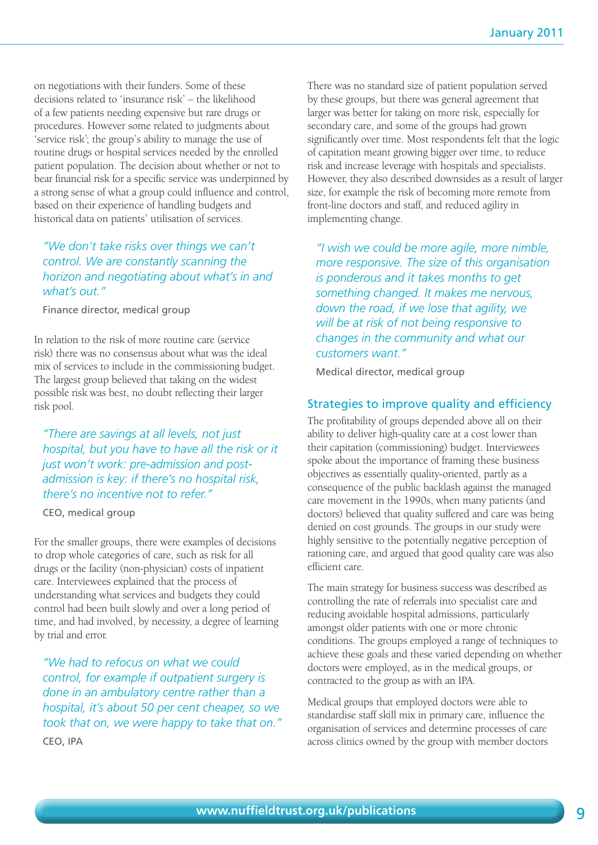on negotiations with their funders. Some of these decisions related to 'insurance risk' – the likelihood of a few patients needing expensive but rare drugs or procedures. However some related to judgments about 'service risk'; the group's ability to manage the use of routine drugs or hospital services needed by the enrolled patient population. The decision about whether or not to bear financial risk for a specific service was underpinned by a strong sense of what a group could influence and control, based on their experience of handling budgets and historical data on patients' utilisation of services.

#### *"We don't take risks over things we can't control. We are constantly scanning the horizon and negotiating about what's in and what's out."*

Finance director, medical group

In relation to the risk of more routine care (service risk) there was no consensus about what was the ideal mix of services to include in the commissioning budget. The largest group believed that taking on the widest possible risk was best, no doubt reflecting their larger risk pool.

*"There are savings at all levels, not just hospital, but you have to have all the risk or it just won't work: pre-admission and postadmission is key: if there's no hospital risk, there's no incentive not to refer."* 

CEO, medical group

For the smaller groups, there were examples of decisions to drop whole categories of care, such as risk for all drugs or the facility (non-physician) costs of inpatient care. Interviewees explained that the process of understanding what services and budgets they could control had been built slowly and over a long period of time, and had involved, by necessity, a degree of learning by trial and error.

*"We had to refocus on what we could control, for example if outpatient surgery is done in an ambulatory centre rather than a hospital, it's about 50 per cent cheaper, so we took that on, we were happy to take that on."*  CEO, IPA

There was no standard size of patient population served by these groups, but there was general agreement that larger was better for taking on more risk, especially for secondary care, and some of the groups had grown significantly over time. Most respondents felt that the logic of capitation meant growing bigger over time, to reduce risk and increase leverage with hospitals and specialists. However, they also described downsides as a result of larger size, for example the risk of becoming more remote from front-line doctors and staff, and reduced agility in implementing change.

*"I wish we could be more agile, more nimble, more responsive. The size of this organisation is ponderous and it takes months to get something changed. It makes me nervous, down the road, if we lose that agility, we will be at risk of not being responsive to changes in the community and what our customers want."* 

Medical director, medical group

#### Strategies to improve quality and efficiency

The profitability of groups depended above all on their ability to deliver high-quality care at a cost lower than their capitation (commissioning) budget. Interviewees spoke about the importance of framing these business objectives as essentially quality-oriented, partly as a consequence of the public backlash against the managed care movement in the 1990s, when many patients (and doctors) believed that quality suffered and care was being denied on cost grounds. The groups in our study were highly sensitive to the potentially negative perception of rationing care, and argued that good quality care was also efficient care.

The main strategy for business success was described as controlling the rate of referrals into specialist care and reducing avoidable hospital admissions, particularly amongst older patients with one or more chronic conditions. The groups employed a range of techniques to achieve these goals and these varied depending on whether doctors were employed, as in the medical groups, or contracted to the group as with an IPA.

Medical groups that employed doctors were able to standardise staff skill mix in primary care, influence the organisation of services and determine processes of care across clinics owned by the group with member doctors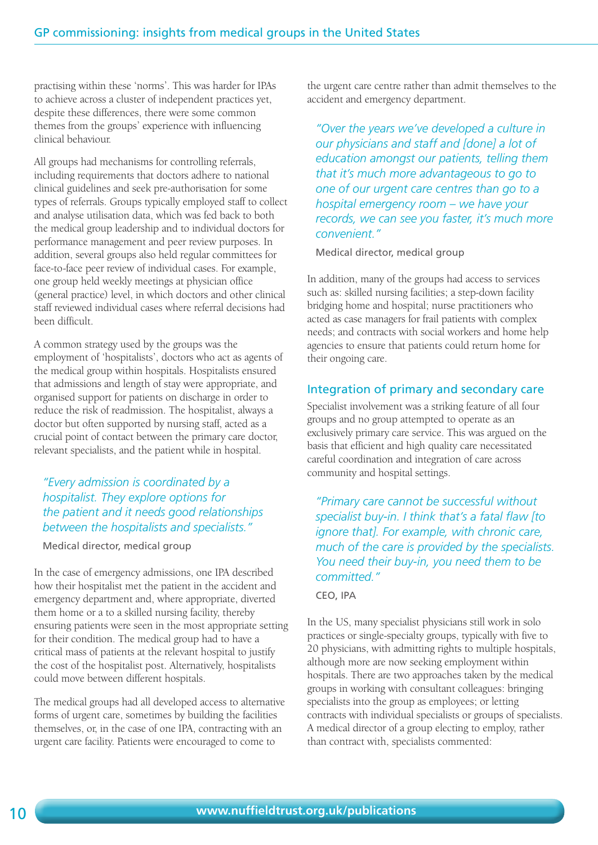practising within these 'norms'. This was harder for IPAs to achieve across a cluster of independent practices yet, despite these differences, there were some common themes from the groups' experience with influencing clinical behaviour.

All groups had mechanisms for controlling referrals, including requirements that doctors adhere to national clinical guidelines and seek pre-authorisation for some types of referrals. Groups typically employed staff to collect and analyse utilisation data, which was fed back to both the medical group leadership and to individual doctors for performance management and peer review purposes. In addition, several groups also held regular committees for face-to-face peer review of individual cases. For example, one group held weekly meetings at physician office (general practice) level, in which doctors and other clinical staff reviewed individual cases where referral decisions had been difficult.

A common strategy used by the groups was the employment of 'hospitalists', doctors who act as agents of the medical group within hospitals. Hospitalists ensured that admissions and length of stay were appropriate, and organised support for patients on discharge in order to reduce the risk of readmission. The hospitalist, always a doctor but often supported by nursing staff, acted as a crucial point of contact between the primary care doctor, relevant specialists, and the patient while in hospital.

#### *"Every admission is coordinated by a hospitalist. They explore options for the patient and it needs good relationships between the hospitalists and specialists."*

Medical director, medical group

In the case of emergency admissions, one IPA described how their hospitalist met the patient in the accident and emergency department and, where appropriate, diverted them home or a to a skilled nursing facility, thereby ensuring patients were seen in the most appropriate setting for their condition. The medical group had to have a critical mass of patients at the relevant hospital to justify the cost of the hospitalist post. Alternatively, hospitalists could move between different hospitals.

The medical groups had all developed access to alternative forms of urgent care, sometimes by building the facilities themselves, or, in the case of one IPA, contracting with an urgent care facility. Patients were encouraged to come to

the urgent care centre rather than admit themselves to the accident and emergency department.

*"Over the years we've developed a culture in our physicians and staff and [done] a lot of education amongst our patients, telling them that it's much more advantageous to go to one of our urgent care centres than go to a hospital emergency room – we have your records, we can see you faster, it's much more convenient."* 

Medical director, medical group

In addition, many of the groups had access to services such as: skilled nursing facilities; a step-down facility bridging home and hospital; nurse practitioners who acted as case managers for frail patients with complex needs; and contracts with social workers and home help agencies to ensure that patients could return home for their ongoing care.

#### Integration of primary and secondary care

Specialist involvement was a striking feature of all four groups and no group attempted to operate as an exclusively primary care service. This was argued on the basis that efficient and high quality care necessitated careful coordination and integration of care across community and hospital settings.

*"Primary care cannot be successful without specialist buy-in. I think that's a fatal flaw [to ignore that]. For example, with chronic care, much of the care is provided by the specialists. You need their buy-in, you need them to be committed."* 

CEO, IPA

In the US, many specialist physicians still work in solo practices or single-specialty groups, typically with five to 20 physicians, with admitting rights to multiple hospitals, although more are now seeking employment within hospitals. There are two approaches taken by the medical groups in working with consultant colleagues: bringing specialists into the group as employees; or letting contracts with individual specialists or groups of specialists. A medical director of a group electing to employ, rather than contract with, specialists commented: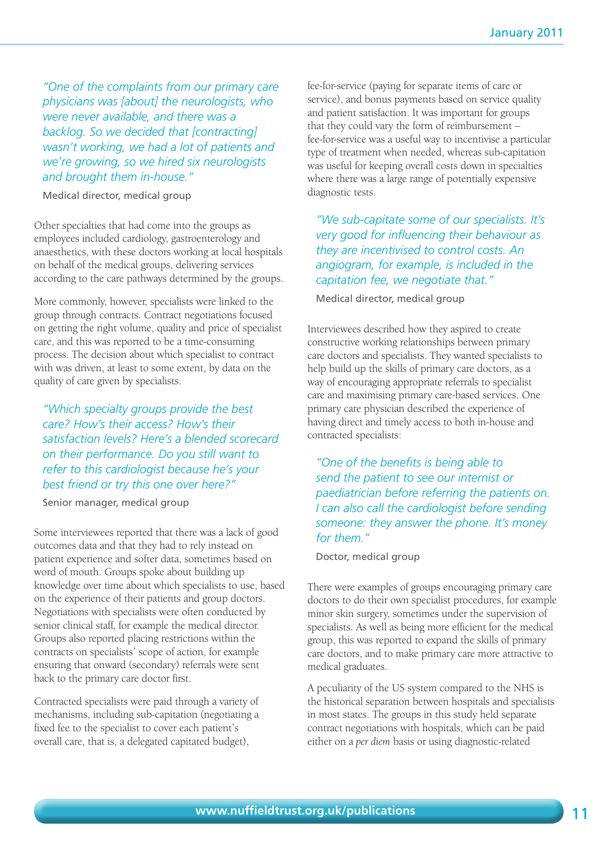*"One of the complaints from our primary care physicians was [about] the neurologists, who were never available, and there was a backlog. So we decided that [contracting] wasn't working, we had a lot of patients and we're growing, so we hired six neurologists and brought them in-house."* 

Medical director, medical group

Other specialties that had come into the groups as employees included cardiology, gastroenterology and anaesthetics, with these doctors working at local hospitals on behalf of the medical groups, delivering services according to the care pathways determined by the groups.

More commonly, however, specialists were linked to the group through contracts. Contract negotiations focused on getting the right volume, quality and price of specialist care, and this was reported to be a time-consuming process. The decision about which specialist to contract with was driven, at least to some extent, by data on the quality of care given by specialists.

*"Which specialty groups provide the best care? How's their access? How's their satisfaction levels? Here's a blended scorecard on their performance. Do you still want to refer to this cardiologist because he's your best friend or try this one over here?"* 

Senior manager, medical group

Some interviewees reported that there was a lack of good outcomes data and that they had to rely instead on patient experience and softer data, sometimes based on word of mouth. Groups spoke about building up knowledge over time about which specialists to use, based on the experience of their patients and group doctors. Negotiations with specialists were often conducted by senior clinical staff, for example the medical director. Groups also reported placing restrictions within the contracts on specialists' scope of action, for example ensuring that onward (secondary) referrals were sent back to the primary care doctor first.

Contracted specialists were paid through a variety of mechanisms, including sub-capitation (negotiating a fixed fee to the specialist to cover each patient's overall care, that is, a delegated capitated budget),

fee-for-service (paying for separate items of care or service), and bonus payments based on service quality and patient satisfaction. It was important for groups that they could vary the form of reimbursement – fee-for-service was a useful way to incentivise a particular type of treatment when needed, whereas sub-capitation was useful for keeping overall costs down in specialties where there was a large range of potentially expensive diagnostic tests.

*"We sub-capitate some of our specialists. It's very good for influencing their behaviour as they are incentivised to control costs. An angiogram, for example, is included in the capitation fee, we negotiate that."* 

Medical director, medical group

Interviewees described how they aspired to create constructive working relationships between primary care doctors and specialists. They wanted specialists to help build up the skills of primary care doctors, as a way of encouraging appropriate referrals to specialist care and maximising primary care-based services. One primary care physician described the experience of having direct and timely access to both in-house and contracted specialists:

*"One of the benefits is being able to send the patient to see our internist or paediatrician before referring the patients on. I can also call the cardiologist before sending someone: they answer the phone. It's money for them."* 

Doctor, medical group

There were examples of groups encouraging primary care doctors to do their own specialist procedures, for example minor skin surgery, sometimes under the supervision of specialists. As well as being more efficient for the medical group, this was reported to expand the skills of primary care doctors, and to make primary care more attractive to medical graduates.

A peculiarity of the US system compared to the NHS is the historical separation between hospitals and specialists in most states. The groups in this study held separate contract negotiations with hospitals, which can be paid either on a *per diem* basis or using diagnostic-related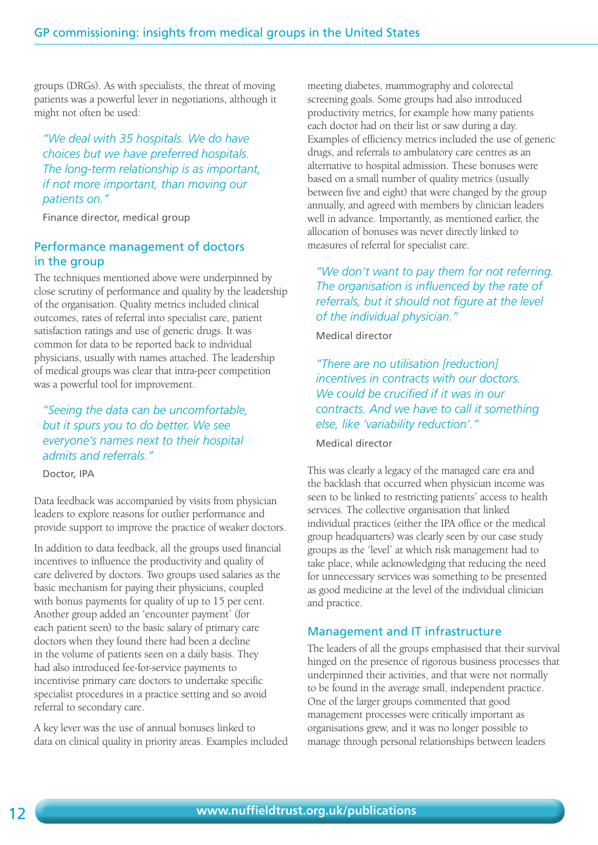groups (DRGs). As with specialists, the threat of moving patients was a powerful lever in negotiations, although it might not often be used:

*"We deal with 35 hospitals. We do have choices but we have preferred hospitals. The long-term relationship is as important, if not more important, than moving our patients on."* 

Finance director, medical group

#### Performance management of doctors in the group

The techniques mentioned above were underpinned by close scrutiny of performance and quality by the leadership of the organisation. Quality metrics included clinical outcomes, rates of referral into specialist care, patient satisfaction ratings and use of generic drugs. It was common for data to be reported back to individual physicians, usually with names attached. The leadership of medical groups was clear that intra-peer competition was a powerful tool for improvement.

*"Seeing the data can be uncomfortable, but it spurs you to do better. We see everyone's names next to their hospital admits and referrals."*

Doctor, IPA

Data feedback was accompanied by visits from physician leaders to explore reasons for outlier performance and provide support to improve the practice of weaker doctors.

In addition to data feedback, all the groups used financial incentives to influence the productivity and quality of care delivered by doctors. Two groups used salaries as the basic mechanism for paying their physicians, coupled with bonus payments for quality of up to 15 per cent. Another group added an 'encounter payment' (for each patient seen) to the basic salary of primary care doctors when they found there had been a decline in the volume of patients seen on a daily basis. They had also introduced fee-for-service payments to incentivise primary care doctors to undertake specific specialist procedures in a practice setting and so avoid referral to secondary care.

A key lever was the use of annual bonuses linked to data on clinical quality in priority areas. Examples included meeting diabetes, mammography and colorectal screening goals. Some groups had also introduced productivity metrics, for example how many patients each doctor had on their list or saw during a day. Examples of efficiency metrics included the use of generic drugs, and referrals to ambulatory care centres as an alternative to hospital admission. These bonuses were based on a small number of quality metrics (usually between five and eight) that were changed by the group annually, and agreed with members by clinician leaders well in advance. Importantly, as mentioned earlier, the allocation of bonuses was never directly linked to measures of referral for specialist care.

*"We don't want to pay them for not referring. The organisation is influenced by the rate of referrals, but it should not figure at the level of the individual physician."* 

Medical director

*"There are no utilisation [reduction] incentives in contracts with our doctors. We could be crucified if it was in our contracts. And we have to call it something else, like 'variability reduction'."* 

Medical director

This was clearly a legacy of the managed care era and the backlash that occurred when physician income was seen to be linked to restricting patients' access to health services. The collective organisation that linked individual practices (either the IPA office or the medical group headquarters) was clearly seen by our case study groups as the 'level' at which risk management had to take place, while acknowledging that reducing the need for unnecessary services was something to be presented as good medicine at the level of the individual clinician and practice.

#### Management and IT infrastructure

The leaders of all the groups emphasised that their survival hinged on the presence of rigorous business processes that underpinned their activities, and that were not normally to be found in the average small, independent practice. One of the larger groups commented that good management processes were critically important as organisations grew, and it was no longer possible to manage through personal relationships between leaders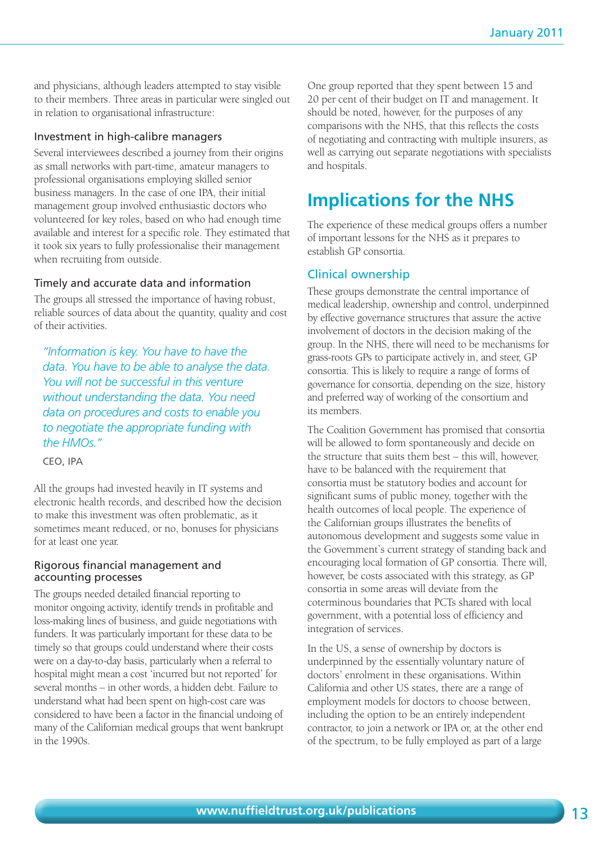and physicians, although leaders attempted to stay visible to their members. Three areas in particular were singled out in relation to organisational infrastructure:

#### Investment in high-calibre managers

Several interviewees described a journey from their origins as small networks with part-time, amateur managers to professional organisations employing skilled senior business managers. In the case of one IPA, their initial management group involved enthusiastic doctors who volunteered for key roles, based on who had enough time available and interest for a specific role. They estimated that it took six years to fully professionalise their management when recruiting from outside.

#### Timely and accurate data and information

The groups all stressed the importance of having robust, reliable sources of data about the quantity, quality and cost of their activities.

*"Information is key. You have to have the data. You have to be able to analyse the data. You will not be successful in this venture without understanding the data. You need data on procedures and costs to enable you to negotiate the appropriate funding with the HMOs."* 

CEO, IPA

All the groups had invested heavily in IT systems and electronic health records, and described how the decision to make this investment was often problematic, as it sometimes meant reduced, or no, bonuses for physicians for at least one year.

#### Rigorous financial management and accounting processes

The groups needed detailed financial reporting to monitor ongoing activity, identify trends in profitable and loss-making lines of business, and guide negotiations with funders. It was particularly important for these data to be timely so that groups could understand where their costs were on a day-to-day basis, particularly when a referral to hospital might mean a cost 'incurred but not reported' for several months – in other words, a hidden debt. Failure to understand what had been spent on high-cost care was considered to have been a factor in the financial undoing of many of the Californian medical groups that went bankrupt in the 1990s.

One group reported that they spent between 15 and 20 per cent of their budget on IT and management. It should be noted, however, for the purposes of any comparisons with the NHS, that this reflects the costs of negotiating and contracting with multiple insurers, as well as carrying out separate negotiations with specialists and hospitals.

# **Implications for the NHS**

The experience of these medical groups offers a number of important lessons for the NHS as it prepares to establish GP consortia.

#### Clinical ownership

These groups demonstrate the central importance of medical leadership, ownership and control, underpinned by effective governance structures that assure the active involvement of doctors in the decision making of the group. In the NHS, there will need to be mechanisms for grass-roots GPs to participate actively in, and steer, GP consortia. This is likely to require a range of forms of governance for consortia, depending on the size, history and preferred way of working of the consortium and its members.

The Coalition Government has promised that consortia will be allowed to form spontaneously and decide on the structure that suits them best – this will, however, have to be balanced with the requirement that consortia must be statutory bodies and account for significant sums of public money, together with the health outcomes of local people. The experience of the Californian groups illustrates the benefits of autonomous development and suggests some value in the Government's current strategy of standing back and encouraging local formation of GP consortia. There will, however, be costs associated with this strategy, as GP consortia in some areas will deviate from the coterminous boundaries that PCTs shared with local government, with a potential loss of efficiency and integration of services.

In the US, a sense of ownership by doctors is underpinned by the essentially voluntary nature of doctors' enrolment in these organisations. Within California and other US states, there are a range of employment models for doctors to choose between, including the option to be an entirely independent contractor, to join a network or IPA or, at the other end of the spectrum, to be fully employed as part of a large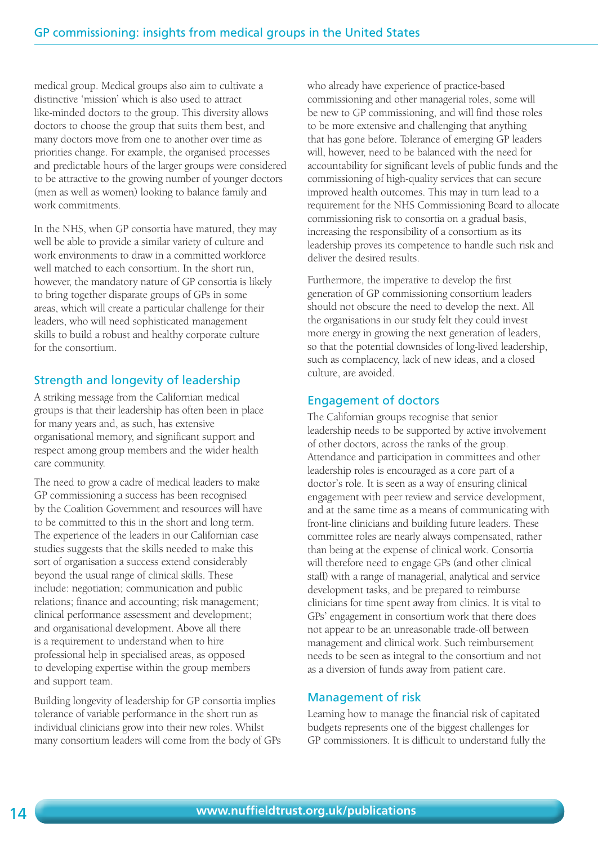medical group. Medical groups also aim to cultivate a distinctive 'mission' which is also used to attract like-minded doctors to the group. This diversity allows doctors to choose the group that suits them best, and many doctors move from one to another over time as priorities change. For example, the organised processes and predictable hours of the larger groups were considered to be attractive to the growing number of younger doctors (men as well as women) looking to balance family and work commitments.

In the NHS, when GP consortia have matured, they may well be able to provide a similar variety of culture and work environments to draw in a committed workforce well matched to each consortium. In the short run, however, the mandatory nature of GP consortia is likely to bring together disparate groups of GPs in some areas, which will create a particular challenge for their leaders, who will need sophisticated management skills to build a robust and healthy corporate culture for the consortium.

#### Strength and longevity of leadership

A striking message from the Californian medical groups is that their leadership has often been in place for many years and, as such, has extensive organisational memory, and significant support and respect among group members and the wider health care community.

The need to grow a cadre of medical leaders to make GP commissioning a success has been recognised by the Coalition Government and resources will have to be committed to this in the short and long term. The experience of the leaders in our Californian case studies suggests that the skills needed to make this sort of organisation a success extend considerably beyond the usual range of clinical skills. These include: negotiation; communication and public relations; finance and accounting; risk management; clinical performance assessment and development; and organisational development. Above all there is a requirement to understand when to hire professional help in specialised areas, as opposed to developing expertise within the group members and support team.

Building longevity of leadership for GP consortia implies tolerance of variable performance in the short run as individual clinicians grow into their new roles. Whilst many consortium leaders will come from the body of GPs who already have experience of practice-based commissioning and other managerial roles, some will be new to GP commissioning, and will find those roles to be more extensive and challenging that anything that has gone before. Tolerance of emerging GP leaders will, however, need to be balanced with the need for accountability for significant levels of public funds and the commissioning of high-quality services that can secure improved health outcomes. This may in turn lead to a requirement for the NHS Commissioning Board to allocate commissioning risk to consortia on a gradual basis, increasing the responsibility of a consortium as its leadership proves its competence to handle such risk and deliver the desired results.

Furthermore, the imperative to develop the first generation of GP commissioning consortium leaders should not obscure the need to develop the next. All the organisations in our study felt they could invest more energy in growing the next generation of leaders, so that the potential downsides of long-lived leadership, such as complacency, lack of new ideas, and a closed culture, are avoided.

#### Engagement of doctors

The Californian groups recognise that senior leadership needs to be supported by active involvement of other doctors, across the ranks of the group. Attendance and participation in committees and other leadership roles is encouraged as a core part of a doctor's role. It is seen as a way of ensuring clinical engagement with peer review and service development, and at the same time as a means of communicating with front-line clinicians and building future leaders. These committee roles are nearly always compensated, rather than being at the expense of clinical work. Consortia will therefore need to engage GPs (and other clinical staff) with a range of managerial, analytical and service development tasks, and be prepared to reimburse clinicians for time spent away from clinics. It is vital to GPs' engagement in consortium work that there does not appear to be an unreasonable trade-off between management and clinical work. Such reimbursement needs to be seen as integral to the consortium and not as a diversion of funds away from patient care.

#### Management of risk

Learning how to manage the financial risk of capitated budgets represents one of the biggest challenges for GP commissioners. It is difficult to understand fully the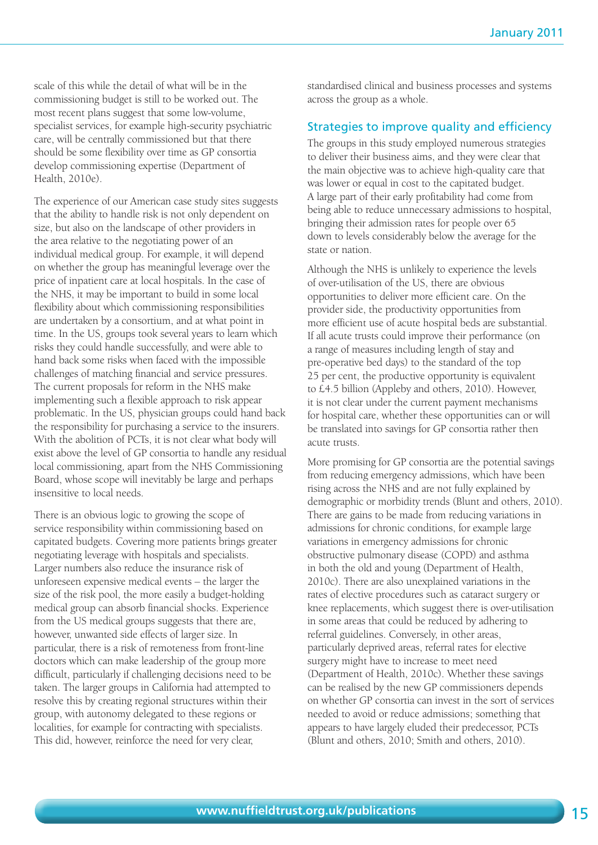scale of this while the detail of what will be in the commissioning budget is still to be worked out. The most recent plans suggest that some low-volume, specialist services, for example high-security psychiatric care, will be centrally commissioned but that there should be some flexibility over time as GP consortia develop commissioning expertise (Department of Health, 2010e).

The experience of our American case study sites suggests that the ability to handle risk is not only dependent on size, but also on the landscape of other providers in the area relative to the negotiating power of an individual medical group. For example, it will depend on whether the group has meaningful leverage over the price of inpatient care at local hospitals. In the case of the NHS, it may be important to build in some local flexibility about which commissioning responsibilities are undertaken by a consortium, and at what point in time. In the US, groups took several years to learn which risks they could handle successfully, and were able to hand back some risks when faced with the impossible challenges of matching financial and service pressures. The current proposals for reform in the NHS make implementing such a flexible approach to risk appear problematic. In the US, physician groups could hand back the responsibility for purchasing a service to the insurers. With the abolition of PCTs, it is not clear what body will exist above the level of GP consortia to handle any residual local commissioning, apart from the NHS Commissioning Board, whose scope will inevitably be large and perhaps insensitive to local needs.

There is an obvious logic to growing the scope of service responsibility within commissioning based on capitated budgets. Covering more patients brings greater negotiating leverage with hospitals and specialists. Larger numbers also reduce the insurance risk of unforeseen expensive medical events – the larger the size of the risk pool, the more easily a budget-holding medical group can absorb financial shocks. Experience from the US medical groups suggests that there are, however, unwanted side effects of larger size. In particular, there is a risk of remoteness from front-line doctors which can make leadership of the group more difficult, particularly if challenging decisions need to be taken. The larger groups in California had attempted to resolve this by creating regional structures within their group, with autonomy delegated to these regions or localities, for example for contracting with specialists. This did, however, reinforce the need for very clear,

standardised clinical and business processes and systems across the group as a whole.

#### Strategies to improve quality and efficiency

The groups in this study employed numerous strategies to deliver their business aims, and they were clear that the main objective was to achieve high-quality care that was lower or equal in cost to the capitated budget. A large part of their early profitability had come from being able to reduce unnecessary admissions to hospital, bringing their admission rates for people over 65 down to levels considerably below the average for the state or nation.

Although the NHS is unlikely to experience the levels of over-utilisation of the US, there are obvious opportunities to deliver more efficient care. On the provider side, the productivity opportunities from more efficient use of acute hospital beds are substantial. If all acute trusts could improve their performance (on a range of measures including length of stay and pre-operative bed days) to the standard of the top 25 per cent, the productive opportunity is equivalent to £4.5 billion (Appleby and others, 2010). However, it is not clear under the current payment mechanisms for hospital care, whether these opportunities can or will be translated into savings for GP consortia rather then acute trusts.

More promising for GP consortia are the potential savings from reducing emergency admissions, which have been rising across the NHS and are not fully explained by demographic or morbidity trends (Blunt and others, 2010). There are gains to be made from reducing variations in admissions for chronic conditions, for example large variations in emergency admissions for chronic obstructive pulmonary disease (COPD) and asthma in both the old and young (Department of Health, 2010c). There are also unexplained variations in the rates of elective procedures such as cataract surgery or knee replacements, which suggest there is over-utilisation in some areas that could be reduced by adhering to referral guidelines. Conversely, in other areas, particularly deprived areas, referral rates for elective surgery might have to increase to meet need (Department of Health, 2010c). Whether these savings can be realised by the new GP commissioners depends on whether GP consortia can invest in the sort of services needed to avoid or reduce admissions; something that appears to have largely eluded their predecessor, PCTs (Blunt and others, 2010; Smith and others, 2010).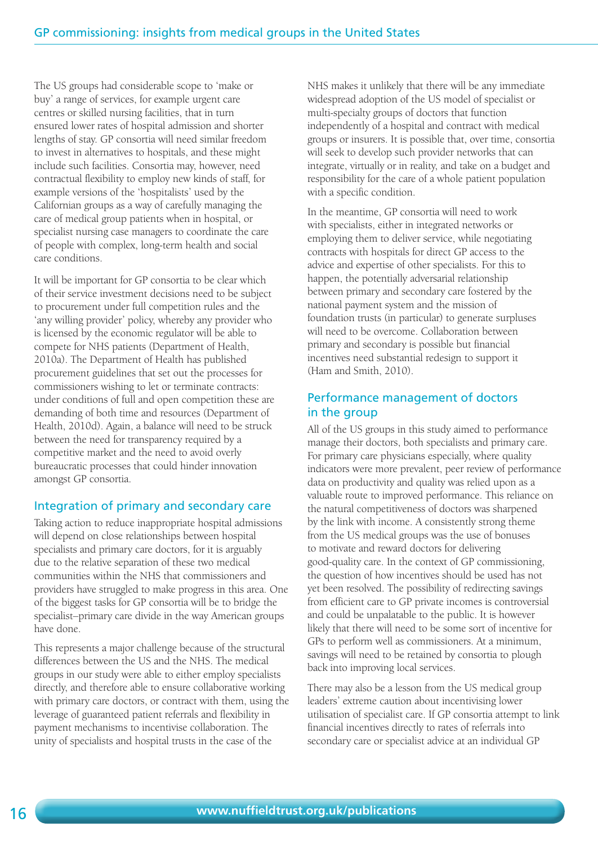The US groups had considerable scope to 'make or buy' a range of services, for example urgent care centres or skilled nursing facilities, that in turn ensured lower rates of hospital admission and shorter lengths of stay. GP consortia will need similar freedom to invest in alternatives to hospitals, and these might include such facilities. Consortia may, however, need contractual flexibility to employ new kinds of staff, for example versions of the 'hospitalists' used by the Californian groups as a way of carefully managing the care of medical group patients when in hospital, or specialist nursing case managers to coordinate the care of people with complex, long-term health and social care conditions.

It will be important for GP consortia to be clear which of their service investment decisions need to be subject to procurement under full competition rules and the 'any willing provider' policy, whereby any provider who is licensed by the economic regulator will be able to compete for NHS patients (Department of Health, 2010a). The Department of Health has published procurement guidelines that set out the processes for commissioners wishing to let or terminate contracts: under conditions of full and open competition these are demanding of both time and resources (Department of Health, 2010d). Again, a balance will need to be struck between the need for transparency required by a competitive market and the need to avoid overly bureaucratic processes that could hinder innovation amongst GP consortia.

#### Integration of primary and secondary care

Taking action to reduce inappropriate hospital admissions will depend on close relationships between hospital specialists and primary care doctors, for it is arguably due to the relative separation of these two medical communities within the NHS that commissioners and providers have struggled to make progress in this area. One of the biggest tasks for GP consortia will be to bridge the specialist–primary care divide in the way American groups have done.

This represents a major challenge because of the structural differences between the US and the NHS. The medical groups in our study were able to either employ specialists directly, and therefore able to ensure collaborative working with primary care doctors, or contract with them, using the leverage of guaranteed patient referrals and flexibility in payment mechanisms to incentivise collaboration. The unity of specialists and hospital trusts in the case of the

NHS makes it unlikely that there will be any immediate widespread adoption of the US model of specialist or multi-specialty groups of doctors that function independently of a hospital and contract with medical groups or insurers. It is possible that, over time, consortia will seek to develop such provider networks that can integrate, virtually or in reality, and take on a budget and responsibility for the care of a whole patient population with a specific condition.

In the meantime, GP consortia will need to work with specialists, either in integrated networks or employing them to deliver service, while negotiating contracts with hospitals for direct GP access to the advice and expertise of other specialists. For this to happen, the potentially adversarial relationship between primary and secondary care fostered by the national payment system and the mission of foundation trusts (in particular) to generate surpluses will need to be overcome. Collaboration between primary and secondary is possible but financial incentives need substantial redesign to support it (Ham and Smith, 2010).

#### Performance management of doctors in the group

All of the US groups in this study aimed to performance manage their doctors, both specialists and primary care. For primary care physicians especially, where quality indicators were more prevalent, peer review of performance data on productivity and quality was relied upon as a valuable route to improved performance. This reliance on the natural competitiveness of doctors was sharpened by the link with income. A consistently strong theme from the US medical groups was the use of bonuses to motivate and reward doctors for delivering good-quality care. In the context of GP commissioning, the question of how incentives should be used has not yet been resolved. The possibility of redirecting savings from efficient care to GP private incomes is controversial and could be unpalatable to the public. It is however likely that there will need to be some sort of incentive for GPs to perform well as commissioners. At a minimum, savings will need to be retained by consortia to plough back into improving local services.

There may also be a lesson from the US medical group leaders' extreme caution about incentivising lower utilisation of specialist care. If GP consortia attempt to link financial incentives directly to rates of referrals into secondary care or specialist advice at an individual GP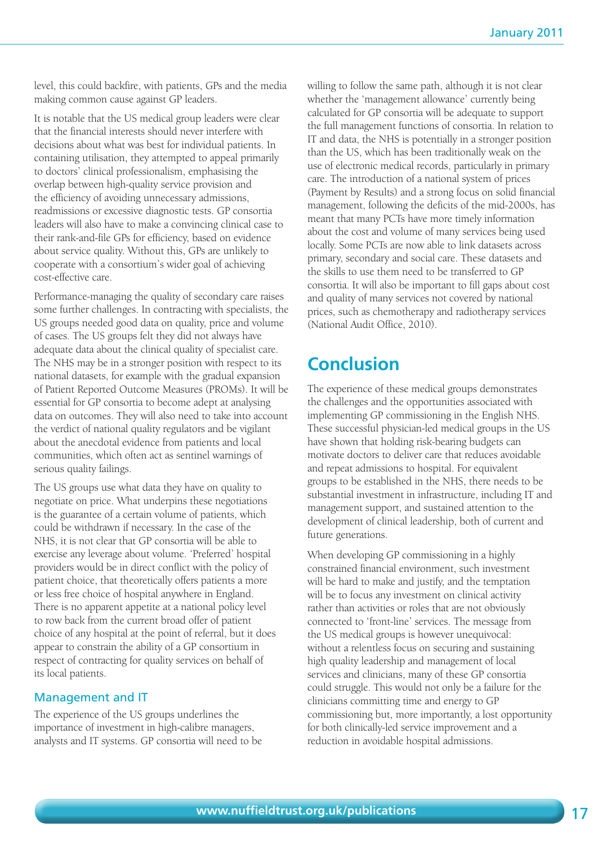level, this could backfire, with patients, GPs and the media making common cause against GP leaders.

It is notable that the US medical group leaders were clear that the financial interests should never interfere with decisions about what was best for individual patients. In containing utilisation, they attempted to appeal primarily to doctors' clinical professionalism, emphasising the overlap between high-quality service provision and the efficiency of avoiding unnecessary admissions, readmissions or excessive diagnostic tests. GP consortia leaders will also have to make a convincing clinical case to their rank-and-file GPs for efficiency, based on evidence about service quality. Without this, GPs are unlikely to cooperate with a consortium's wider goal of achieving cost-effective care.

Performance-managing the quality of secondary care raises some further challenges. In contracting with specialists, the US groups needed good data on quality, price and volume of cases. The US groups felt they did not always have adequate data about the clinical quality of specialist care. The NHS may be in a stronger position with respect to its national datasets, for example with the gradual expansion of Patient Reported Outcome Measures (PROMs). It will be essential for GP consortia to become adept at analysing data on outcomes. They will also need to take into account the verdict of national quality regulators and be vigilant about the anecdotal evidence from patients and local communities, which often act as sentinel warnings of serious quality failings.

The US groups use what data they have on quality to negotiate on price. What underpins these negotiations is the guarantee of a certain volume of patients, which could be withdrawn if necessary. In the case of the NHS, it is not clear that GP consortia will be able to exercise any leverage about volume. 'Preferred' hospital providers would be in direct conflict with the policy of patient choice, that theoretically offers patients a more or less free choice of hospital anywhere in England. There is no apparent appetite at a national policy level to row back from the current broad offer of patient choice of any hospital at the point of referral, but it does appear to constrain the ability of a GP consortium in respect of contracting for quality services on behalf of its local patients.

#### Management and IT

The experience of the US groups underlines the importance of investment in high-calibre managers, analysts and IT systems. GP consortia will need to be willing to follow the same path, although it is not clear whether the 'management allowance' currently being calculated for GP consortia will be adequate to support the full management functions of consortia. In relation to IT and data, the NHS is potentially in a stronger position than the US, which has been traditionally weak on the use of electronic medical records, particularly in primary care. The introduction of a national system of prices (Payment by Results) and a strong focus on solid financial management, following the deficits of the mid-2000s, has meant that many PCTs have more timely information about the cost and volume of many services being used locally. Some PCTs are now able to link datasets across primary, secondary and social care. These datasets and the skills to use them need to be transferred to GP consortia. It will also be important to fill gaps about cost and quality of many services not covered by national prices, such as chemotherapy and radiotherapy services (National Audit Office, 2010).

# **Conclusion**

The experience of these medical groups demonstrates the challenges and the opportunities associated with implementing GP commissioning in the English NHS. These successful physician-led medical groups in the US have shown that holding risk-bearing budgets can motivate doctors to deliver care that reduces avoidable and repeat admissions to hospital. For equivalent groups to be established in the NHS, there needs to be substantial investment in infrastructure, including IT and management support, and sustained attention to the development of clinical leadership, both of current and future generations.

When developing GP commissioning in a highly constrained financial environment, such investment will be hard to make and justify, and the temptation will be to focus any investment on clinical activity rather than activities or roles that are not obviously connected to 'front-line' services. The message from the US medical groups is however unequivocal: without a relentless focus on securing and sustaining high quality leadership and management of local services and clinicians, many of these GP consortia could struggle. This would not only be a failure for the clinicians committing time and energy to GP commissioning but, more importantly, a lost opportunity for both clinically-led service improvement and a reduction in avoidable hospital admissions.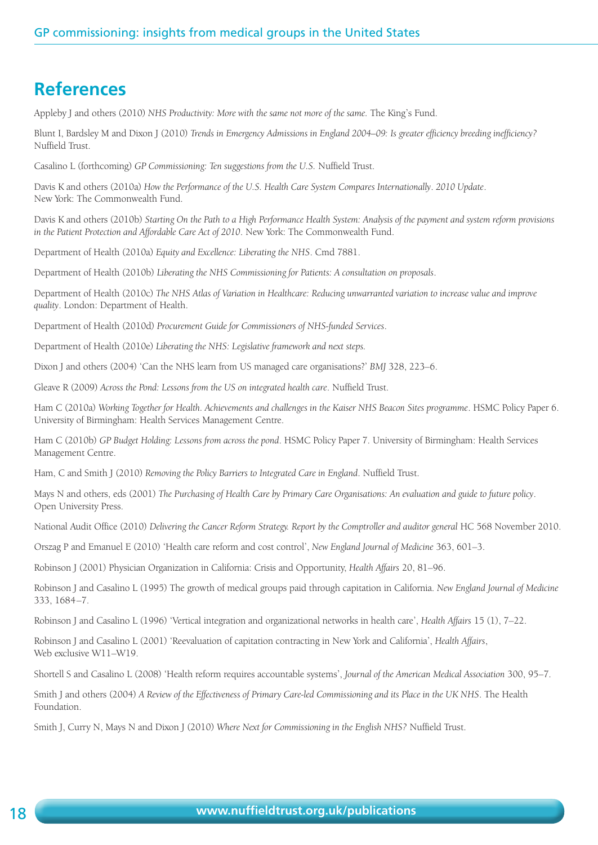### **References**

Appleby J and others (2010) *NHS Productivity: More with the same not more of the same.* The King's Fund.

Blunt I, Bardsley M and Dixon J (2010) *Trends in Emergency Admissions in England 2004–09: Is greater efficiency breeding inefficiency?* Nuffield Trust.

Casalino L (forthcoming) *GP Commissioning: Ten suggestions from the U.S.* Nuffield Trust.

Davis K and others (2010a) *How the Performance of the U.S. Health Care System Compares Internationally*. *2010 Update*. New York: The Commonwealth Fund.

Davis K and others (2010b) *Starting On the Path to a High Performance Health System: Analysis of the payment and system reform provisions in the Patient Protection and Affordable Care Act of 2010*. New York: The Commonwealth Fund.

Department of Health (2010a) *Equity and Excellence: Liberating the NHS*. Cmd 7881.

Department of Health (2010b) *Liberating the NHS Commissioning for Patients: A consultation on proposals*.

Department of Health (2010c) *The NHS Atlas of Variation in Healthcare: Reducing unwarranted variation to increase value and improve quality*. London: Department of Health.

Department of Health (2010d) *Procurement Guide for Commissioners of NHS-funded Services*.

Department of Health (2010e) *Liberating the NHS: Legislative framework and next steps.*

Dixon J and others (2004) 'Can the NHS learn from US managed care organisations?' *BMJ* 328, 223–6.

Gleave R (2009) *Across the Pond: Lessons from the US on integrated health care*. Nuffield Trust.

Ham C (2010a) *Working Together for Health. Achievements and challenges in the Kaiser NHS Beacon Sites programme*. HSMC Policy Paper 6. University of Birmingham: Health Services Management Centre.

Ham C (2010b) *GP Budget Holding: Lessons from across the pond*. HSMC Policy Paper 7. University of Birmingham: Health Services Management Centre.

Ham, C and Smith J (2010) *Removing the Policy Barriers to Integrated Care in England*. Nuffield Trust.

Mays N and others, eds (2001) *The Purchasing of Health Care by Primary Care Organisations: An evaluation and guide to future policy*. Open University Press.

National Audit Office (2010) *Delivering the Cancer Reform Strategy. Report by the Comptroller and auditor general* HC 568 November 2010.

Orszag P and Emanuel E (2010) 'Health care reform and cost control', *New England Journal of Medicine* 363, 601–3.

Robinson J (2001) Physician Organization in California: Crisis and Opportunity, *Health Affairs* 20, 81–96.

Robinson J and Casalino L (1995) The growth of medical groups paid through capitation in California. *New England Journal of Medicine* 333, 1684–7.

Robinson J and Casalino L (1996) 'Vertical integration and organizational networks in health care', *Health Affairs* 15 (1), 7–22.

Robinson J and Casalino L (2001) 'Reevaluation of capitation contracting in New York and California', *Health Affairs*, Web exclusive W11–W19.

Shortell S and Casalino L (2008) 'Health reform requires accountable systems', *Journal of the American Medical Association* 300, 95–7.

Smith J and others (2004) *A Review of the Effectiveness of Primary Care-led Commissioning and its Place in the UK NHS*. The Health Foundation.

Smith J, Curry N, Mays N and Dixon J (2010) *Where Next for Commissioning in the English NHS?* Nuffield Trust.